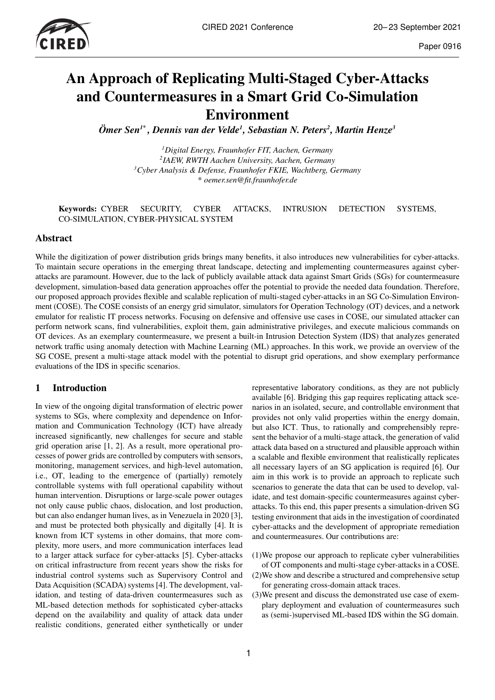

# An Approach of Replicating Multi-Staged Cyber-Attacks and Countermeasures in a Smart Grid Co-Simulation Environment

*Ömer Sen1\* , Dennis van der Velde<sup>1</sup> , Sebastian N. Peters<sup>2</sup> , Martin Henze<sup>3</sup>*

*Digital Energy, Fraunhofer FIT, Aachen, Germany IAEW, RWTH Aachen University, Aachen, Germany Cyber Analysis & Defense, Fraunhofer FKIE, Wachtberg, Germany \* oemer.sen@fit.fraunhofer.de*

#### Keywords: CYBER SECURITY, CYBER ATTACKS, INTRUSION DETECTION SYSTEMS, CO-SIMULATION, CYBER-PHYSICAL SYSTEM

### Abstract

While the digitization of power distribution grids brings many benefits, it also introduces new vulnerabilities for cyber-attacks. To maintain secure operations in the emerging threat landscape, detecting and implementing countermeasures against cyberattacks are paramount. However, due to the lack of publicly available attack data against Smart Grids (SGs) for countermeasure development, simulation-based data generation approaches offer the potential to provide the needed data foundation. Therefore, our proposed approach provides flexible and scalable replication of multi-staged cyber-attacks in an SG Co-Simulation Environment (COSE). The COSE consists of an energy grid simulator, simulators for Operation Technology (OT) devices, and a network emulator for realistic IT process networks. Focusing on defensive and offensive use cases in COSE, our simulated attacker can perform network scans, find vulnerabilities, exploit them, gain administrative privileges, and execute malicious commands on OT devices. As an exemplary countermeasure, we present a built-in Intrusion Detection System (IDS) that analyzes generated network traffic using anomaly detection with Machine Learning (ML) approaches. In this work, we provide an overview of the SG COSE, present a multi-stage attack model with the potential to disrupt grid operations, and show exemplary performance evaluations of the IDS in specific scenarios.

# 1 Introduction

In view of the ongoing digital transformation of electric power systems to SGs, where complexity and dependence on Information and Communication Technology (ICT) have already increased significantly, new challenges for secure and stable grid operation arise [1, 2]. As a result, more operational processes of power grids are controlled by computers with sensors, monitoring, management services, and high-level automation, i.e., OT, leading to the emergence of (partially) remotely controllable systems with full operational capability without human intervention. Disruptions or large-scale power outages not only cause public chaos, dislocation, and lost production, but can also endanger human lives, as in Venezuela in 2020 [3], and must be protected both physically and digitally [4]. It is known from ICT systems in other domains, that more complexity, more users, and more communication interfaces lead to a larger attack surface for cyber-attacks [5]. Cyber-attacks on critical infrastructure from recent years show the risks for industrial control systems such as Supervisory Control and Data Acquisition (SCADA) systems [4]. The development, validation, and testing of data-driven countermeasures such as ML-based detection methods for sophisticated cyber-attacks depend on the availability and quality of attack data under realistic conditions, generated either synthetically or under

representative laboratory conditions, as they are not publicly available [6]. Bridging this gap requires replicating attack scenarios in an isolated, secure, and controllable environment that provides not only valid properties within the energy domain, but also ICT. Thus, to rationally and comprehensibly represent the behavior of a multi-stage attack, the generation of valid attack data based on a structured and plausible approach within a scalable and flexible environment that realistically replicates all necessary layers of an SG application is required [6]. Our aim in this work is to provide an approach to replicate such scenarios to generate the data that can be used to develop, validate, and test domain-specific countermeasures against cyberattacks. To this end, this paper presents a simulation-driven SG testing environment that aids in the investigation of coordinated cyber-attacks and the development of appropriate remediation and countermeasures. Our contributions are:

- (1)We propose our approach to replicate cyber vulnerabilities of OT components and multi-stage cyber-attacks in a COSE.
- (2)We show and describe a structured and comprehensive setup for generating cross-domain attack traces.
- (3)We present and discuss the demonstrated use case of exemplary deployment and evaluation of countermeasures such as (semi-)supervised ML-based IDS within the SG domain.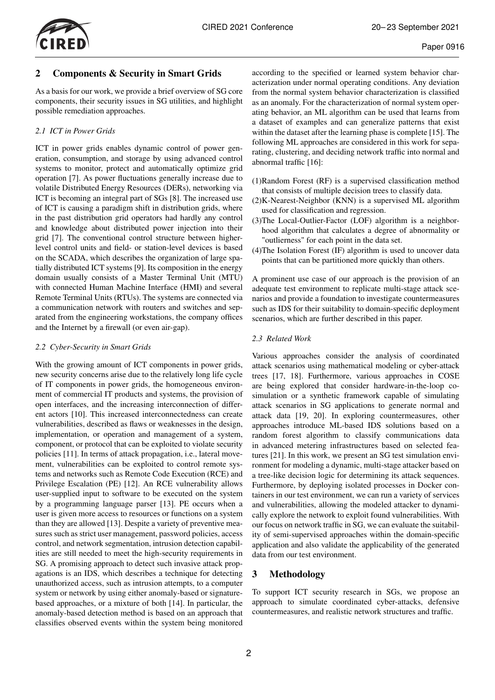

# 2 Components & Security in Smart Grids

As a basis for our work, we provide a brief overview of SG core components, their security issues in SG utilities, and highlight possible remediation approaches.

# *2.1 ICT in Power Grids*

ICT in power grids enables dynamic control of power generation, consumption, and storage by using advanced control systems to monitor, protect and automatically optimize grid operation [7]. As power fluctuations generally increase due to volatile Distributed Energy Resources (DERs), networking via ICT is becoming an integral part of SGs [8]. The increased use of ICT is causing a paradigm shift in distribution grids, where in the past distribution grid operators had hardly any control and knowledge about distributed power injection into their grid [7]. The conventional control structure between higherlevel control units and field- or station-level devices is based on the SCADA, which describes the organization of large spatially distributed ICT systems [9]. Its composition in the energy domain usually consists of a Master Terminal Unit (MTU) with connected Human Machine Interface (HMI) and several Remote Terminal Units (RTUs). The systems are connected via a communication network with routers and switches and separated from the engineering workstations, the company offices and the Internet by a firewall (or even air-gap).

# *2.2 Cyber-Security in Smart Grids*

With the growing amount of ICT components in power grids, new security concerns arise due to the relatively long life cycle of IT components in power grids, the homogeneous environment of commercial IT products and systems, the provision of open interfaces, and the increasing interconnection of different actors [10]. This increased interconnectedness can create vulnerabilities, described as flaws or weaknesses in the design, implementation, or operation and management of a system, component, or protocol that can be exploited to violate security policies [11]. In terms of attack propagation, i.e., lateral movement, vulnerabilities can be exploited to control remote systems and networks such as Remote Code Execution (RCE) and Privilege Escalation (PE) [12]. An RCE vulnerability allows user-supplied input to software to be executed on the system by a programming language parser [13]. PE occurs when a user is given more access to resources or functions on a system than they are allowed [13]. Despite a variety of preventive measures such as strict user management, password policies, access control, and network segmentation, intrusion detection capabilities are still needed to meet the high-security requirements in SG. A promising approach to detect such invasive attack propagations is an IDS, which describes a technique for detecting unauthorized access, such as intrusion attempts, to a computer system or network by using either anomaly-based or signaturebased approaches, or a mixture of both [14]. In particular, the anomaly-based detection method is based on an approach that classifies observed events within the system being monitored

according to the specified or learned system behavior characterization under normal operating conditions. Any deviation from the normal system behavior characterization is classified as an anomaly. For the characterization of normal system operating behavior, an ML algorithm can be used that learns from a dataset of examples and can generalize patterns that exist within the dataset after the learning phase is complete [15]. The following ML approaches are considered in this work for separating, clustering, and deciding network traffic into normal and abnormal traffic [16]:

- (1)Random Forest (RF) is a supervised classification method that consists of multiple decision trees to classify data.
- (2)K-Nearest-Neighbor (KNN) is a supervised ML algorithm used for classification and regression.
- (3)The Local-Outlier-Factor (LOF) algorithm is a neighborhood algorithm that calculates a degree of abnormality or "outlierness" for each point in the data set.
- (4)The Isolation Forest (IF) algorithm is used to uncover data points that can be partitioned more quickly than others.

A prominent use case of our approach is the provision of an adequate test environment to replicate multi-stage attack scenarios and provide a foundation to investigate countermeasures such as IDS for their suitability to domain-specific deployment scenarios, which are further described in this paper.

## *2.3 Related Work*

Various approaches consider the analysis of coordinated attack scenarios using mathematical modeling or cyber-attack trees [17, 18]. Furthermore, various approaches in COSE are being explored that consider hardware-in-the-loop cosimulation or a synthetic framework capable of simulating attack scenarios in SG applications to generate normal and attack data [19, 20]. In exploring countermeasures, other approaches introduce ML-based IDS solutions based on a random forest algorithm to classify communications data in advanced metering infrastructures based on selected features [21]. In this work, we present an SG test simulation environment for modeling a dynamic, multi-stage attacker based on a tree-like decision logic for determining its attack sequences. Furthermore, by deploying isolated processes in Docker containers in our test environment, we can run a variety of services and vulnerabilities, allowing the modeled attacker to dynamically explore the network to exploit found vulnerabilities. With our focus on network traffic in SG, we can evaluate the suitability of semi-supervised approaches within the domain-specific application and also validate the applicability of the generated data from our test environment.

# 3 Methodology

To support ICT security research in SGs, we propose an approach to simulate coordinated cyber-attacks, defensive countermeasures, and realistic network structures and traffic.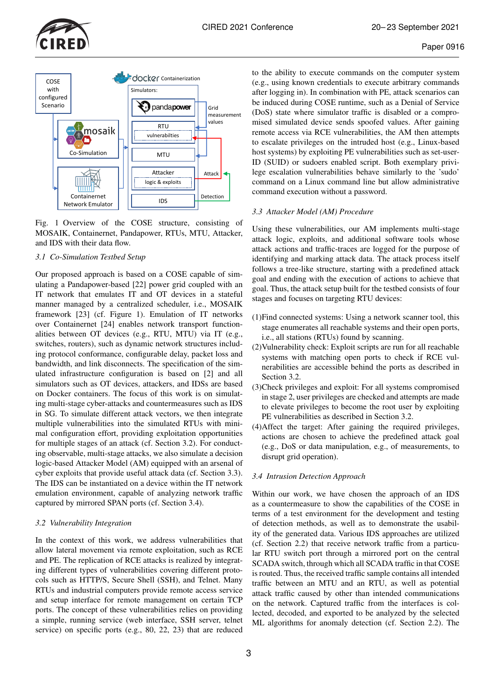



Fig. 1 Overview of the COSE structure, consisting of MOSAIK, Containernet, Pandapower, RTUs, MTU, Attacker, and IDS with their data flow.

#### *3.1 Co-Simulation Testbed Setup*

Our proposed approach is based on a COSE capable of simulating a Pandapower-based [22] power grid coupled with an IT network that emulates IT and OT devices in a stateful manner managed by a centralized scheduler, i.e., MOSAIK framework [23] (cf. Figure 1). Emulation of IT networks over Containernet [24] enables network transport functionalities between OT devices (e.g., RTU, MTU) via IT (e.g., switches, routers), such as dynamic network structures including protocol conformance, configurable delay, packet loss and bandwidth, and link disconnects. The specification of the simulated infrastructure configuration is based on [2] and all simulators such as OT devices, attackers, and IDSs are based on Docker containers. The focus of this work is on simulating multi-stage cyber-attacks and countermeasures such as IDS in SG. To simulate different attack vectors, we then integrate multiple vulnerabilities into the simulated RTUs with minimal configuration effort, providing exploitation opportunities for multiple stages of an attack (cf. Section 3.2). For conducting observable, multi-stage attacks, we also simulate a decision logic-based Attacker Model (AM) equipped with an arsenal of cyber exploits that provide useful attack data (cf. Section 3.3). The IDS can be instantiated on a device within the IT network emulation environment, capable of analyzing network traffic captured by mirrored SPAN ports (cf. Section 3.4).

#### *3.2 Vulnerability Integration*

In the context of this work, we address vulnerabilities that allow lateral movement via remote exploitation, such as RCE and PE. The replication of RCE attacks is realized by integrating different types of vulnerabilities covering different protocols such as HTTP/S, Secure Shell (SSH), and Telnet. Many RTUs and industrial computers provide remote access service and setup interface for remote management on certain TCP ports. The concept of these vulnerabilities relies on providing a simple, running service (web interface, SSH server, telnet service) on specific ports (e.g., 80, 22, 23) that are reduced

to the ability to execute commands on the computer system (e.g., using known credentials to execute arbitrary commands after logging in). In combination with PE, attack scenarios can be induced during COSE runtime, such as a Denial of Service (DoS) state where simulator traffic is disabled or a compromised simulated device sends spoofed values. After gaining remote access via RCE vulnerabilities, the AM then attempts to escalate privileges on the intruded host (e.g., Linux-based host systems) by exploiting PE vulnerabilities such as set-user-ID (SUID) or sudoers enabled script. Both exemplary privilege escalation vulnerabilities behave similarly to the 'sudo' command on a Linux command line but allow administrative command execution without a password.

#### *3.3 Attacker Model (AM) Procedure*

Using these vulnerabilities, our AM implements multi-stage attack logic, exploits, and additional software tools whose attack actions and traffic-traces are logged for the purpose of identifying and marking attack data. The attack process itself follows a tree-like structure, starting with a predefined attack goal and ending with the execution of actions to achieve that goal. Thus, the attack setup built for the testbed consists of four stages and focuses on targeting RTU devices:

- (1)Find connected systems: Using a network scanner tool, this stage enumerates all reachable systems and their open ports, i.e., all stations (RTUs) found by scanning.
- (2)Vulnerability check: Exploit scripts are run for all reachable systems with matching open ports to check if RCE vulnerabilities are accessible behind the ports as described in Section 3.2.
- (3)Check privileges and exploit: For all systems compromised in stage 2, user privileges are checked and attempts are made to elevate privileges to become the root user by exploiting PE vulnerabilities as described in Section 3.2.
- (4)Affect the target: After gaining the required privileges, actions are chosen to achieve the predefined attack goal (e.g., DoS or data manipulation, e.g., of measurements, to disrupt grid operation).

## *3.4 Intrusion Detection Approach*

Within our work, we have chosen the approach of an IDS as a countermeasure to show the capabilities of the COSE in terms of a test environment for the development and testing of detection methods, as well as to demonstrate the usability of the generated data. Various IDS approaches are utilized (cf. Section 2.2) that receive network traffic from a particular RTU switch port through a mirrored port on the central SCADA switch, through which all SCADA traffic in that COSE is routed. Thus, the received traffic sample contains all intended traffic between an MTU and an RTU, as well as potential attack traffic caused by other than intended communications on the network. Captured traffic from the interfaces is collected, decoded, and exported to be analyzed by the selected ML algorithms for anomaly detection (cf. Section 2.2). The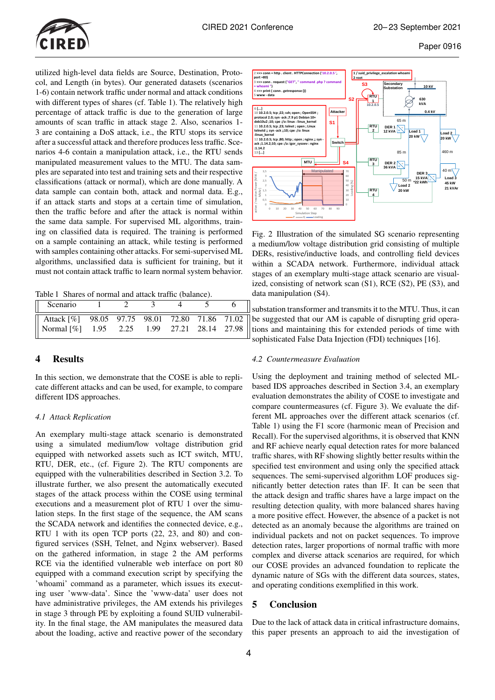

utilized high-level data fields are Source, Destination, Protocol, and Length (in bytes). Our generated datasets (scenarios 1-6) contain network traffic under normal and attack conditions with different types of shares (cf. Table 1). The relatively high percentage of attack traffic is due to the generation of large amounts of scan traffic in attack stage 2. Also, scenarios 1- 3 are containing a DoS attack, i.e., the RTU stops its service after a successful attack and therefore produces less traffic. Scenarios 4-6 contain a manipulation attack, i.e., the RTU sends manipulated measurement values to the MTU. The data samples are separated into test and training sets and their respective classifications (attack or normal), which are done manually. A data sample can contain both, attack and normal data. E.g., if an attack starts and stops at a certain time of simulation, then the traffic before and after the attack is normal within the same data sample. For supervised ML algorithms, training on classified data is required. The training is performed on a sample containing an attack, while testing is performed with samples containing other attacks. For semi-supervised ML algorithms, unclassified data is sufficient for training, but it must not contain attack traffic to learn normal system behavior.

Table 1 Shares of normal and attack traffic (balance).

| Scenario                                                                                                                   |  |  |  |
|----------------------------------------------------------------------------------------------------------------------------|--|--|--|
| Attack $\lceil \% \rceil$ 98.05 97.75 98.01 72.80 71.86 71.02  <br>$\parallel$ Normal [%] 1.95 2.25 1.99 27.21 28.14 27.98 |  |  |  |

## 4 Results

In this section, we demonstrate that the COSE is able to replicate different attacks and can be used, for example, to compare different IDS approaches.

#### *4.1 Attack Replication*

An exemplary multi-stage attack scenario is demonstrated using a simulated medium/low voltage distribution grid equipped with networked assets such as ICT switch, MTU, RTU, DER, etc., (cf. Figure 2). The RTU components are equipped with the vulnerabilities described in Section 3.2. To illustrate further, we also present the automatically executed stages of the attack process within the COSE using terminal executions and a measurement plot of RTU 1 over the simulation steps. In the first stage of the sequence, the AM scans the SCADA network and identifies the connected device, e.g., RTU 1 with its open TCP ports (22, 23, and 80) and configured services (SSH, Telnet, and Nginx webserver). Based on the gathered information, in stage 2 the AM performs RCE via the identified vulnerable web interface on port 80 equipped with a command execution script by specifying the 'whoami' command as a parameter, which issues its executing user 'www-data'. Since the 'www-data' user does not have administrative privileges, the AM extends his privileges in stage 3 through PE by exploiting a found SUID vulnerability. In the final stage, the AM manipulates the measured data about the loading, active and reactive power of the secondary



Fig. 2 Illustration of the simulated SG scenario representing a medium/low voltage distribution grid consisting of multiple DERs, resistive/inductive loads, and controlling field devices within a SCADA network. Furthermore, individual attack stages of an exemplary multi-stage attack scenario are visualized, consisting of network scan (S1), RCE (S2), PE (S3), and data manipulation (S4).

substation transformer and transmits it to the MTU. Thus, it can be suggested that our AM is capable of disrupting grid operations and maintaining this for extended periods of time with sophisticated False Data Injection (FDI) techniques [16].

#### *4.2 Countermeasure Evaluation*

Using the deployment and training method of selected MLbased IDS approaches described in Section 3.4, an exemplary evaluation demonstrates the ability of COSE to investigate and compare countermeasures (cf. Figure 3). We evaluate the different ML approaches over the different attack scenarios (cf. Table 1) using the F1 score (harmonic mean of Precision and Recall). For the supervised algorithms, it is observed that KNN and RF achieve nearly equal detection rates for more balanced traffic shares, with RF showing slightly better results within the specified test environment and using only the specified attack sequences. The semi-supervised algorithm LOF produces significantly better detection rates than IF. It can be seen that the attack design and traffic shares have a large impact on the resulting detection quality, with more balanced shares having a more positive effect. However, the absence of a packet is not detected as an anomaly because the algorithms are trained on individual packets and not on packet sequences. To improve detection rates, larger proportions of normal traffic with more complex and diverse attack scenarios are required, for which our COSE provides an advanced foundation to replicate the dynamic nature of SGs with the different data sources, states, and operating conditions exemplified in this work.

# 5 Conclusion

Due to the lack of attack data in critical infrastructure domains, this paper presents an approach to aid the investigation of